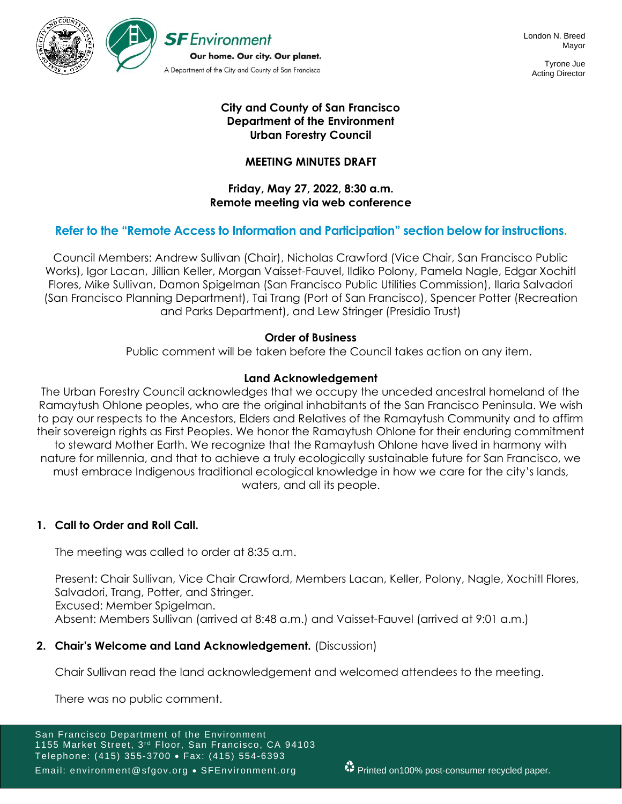

Tyrone Jue Acting Director

## **City and County of San Francisco Department of the Environment Urban Forestry Council**

## **MEETING MINUTES DRAFT**

### **Friday, May 27, 2022, 8:30 a.m. Remote meeting via web conference**

## **Refer to the "Remote Access to Information and Participation" section below for instructions.**

Council Members: Andrew Sullivan (Chair), Nicholas Crawford (Vice Chair, San Francisco Public Works), Igor Lacan, Jillian Keller, Morgan Vaisset-Fauvel, Ildiko Polony, Pamela Nagle, Edgar Xochitl Flores, Mike Sullivan, Damon Spigelman (San Francisco Public Utilities Commission), Ilaria Salvadori (San Francisco Planning Department), Tai Trang (Port of San Francisco), Spencer Potter (Recreation and Parks Department), and Lew Stringer (Presidio Trust)

## **Order of Business**

Public comment will be taken before the Council takes action on any item.

## **Land Acknowledgement**

The Urban Forestry Council acknowledges that we occupy the unceded ancestral homeland of the Ramaytush Ohlone peoples, who are the original inhabitants of the San Francisco Peninsula. We wish to pay our respects to the Ancestors, Elders and Relatives of the Ramaytush Community and to affirm their sovereign rights as First Peoples. We honor the Ramaytush Ohlone for their enduring commitment to steward Mother Earth. We recognize that the Ramaytush Ohlone have lived in harmony with nature for millennia, and that to achieve a truly ecologically sustainable future for San Francisco, we must embrace Indigenous traditional ecological knowledge in how we care for the city's lands, waters, and all its people.

## **1. Call to Order and Roll Call.**

The meeting was called to order at 8:35 a.m.

Present: Chair Sullivan, Vice Chair Crawford, Members Lacan, Keller, Polony, Nagle, Xochitl Flores, Salvadori, Trang, Potter, and Stringer. Excused: Member Spigelman. Absent: Members Sullivan (arrived at 8:48 a.m.) and Vaisset-Fauvel (arrived at 9:01 a.m.)

## **2. Chair's Welcome and Land Acknowledgement.** (Discussion)

Chair Sullivan read the land acknowledgement and welcomed attendees to the meeting.

There was no public comment.

San Francisco Department of the Environment 1155 Market Street, 3<sup>rd</sup> Floor, San Francisco, CA 94103 Telephone: (415) 355-3700 • Fax: (415) 554-6393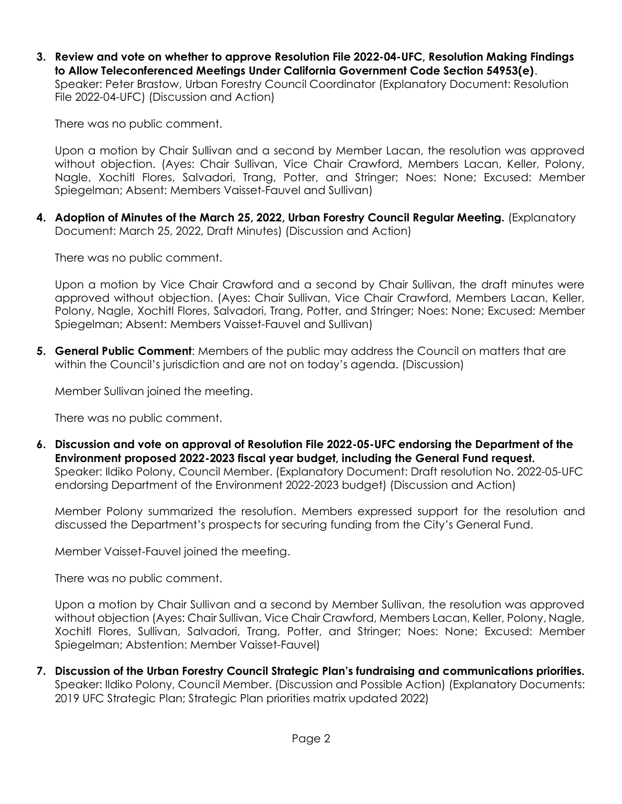**3. Review and vote on whether to approve Resolution File 2022-04-UFC, Resolution Making Findings to Allow Teleconferenced Meetings Under California Government Code Section 54953(e)**.

Speaker: Peter Brastow, Urban Forestry Council Coordinator (Explanatory Document: Resolution File 2022-04-UFC) (Discussion and Action)

There was no public comment.

Upon a motion by Chair Sullivan and a second by Member Lacan, the resolution was approved without objection. (Ayes: Chair Sullivan, Vice Chair Crawford, Members Lacan, Keller, Polony, Nagle, Xochitl Flores, Salvadori, Trang, Potter, and Stringer; Noes: None; Excused: Member Spiegelman; Absent: Members Vaisset-Fauvel and Sullivan)

**4. Adoption of Minutes of the March 25, 2022, Urban Forestry Council Regular Meeting.** (Explanatory Document: March 25, 2022, Draft Minutes) (Discussion and Action)

There was no public comment.

Upon a motion by Vice Chair Crawford and a second by Chair Sullivan, the draft minutes were approved without objection. (Ayes: Chair Sullivan, Vice Chair Crawford, Members Lacan, Keller, Polony, Nagle, Xochitl Flores, Salvadori, Trang, Potter, and Stringer; Noes: None; Excused: Member Spiegelman; Absent: Members Vaisset-Fauvel and Sullivan)

**5. General Public Comment**: Members of the public may address the Council on matters that are within the Council's jurisdiction and are not on today's agenda. (Discussion)

Member Sullivan joined the meeting.

There was no public comment.

**6. Discussion and vote on approval of Resolution File 2022-05-UFC endorsing the Department of the Environment proposed 2022-2023 fiscal year budget, including the General Fund request.**  Speaker: Ildiko Polony, Council Member. (Explanatory Document: Draft resolution No. 2022-05-UFC endorsing Department of the Environment 2022-2023 budget) (Discussion and Action)

Member Polony summarized the resolution. Members expressed support for the resolution and discussed the Department's prospects for securing funding from the City's General Fund.

Member Vaisset-Fauvel joined the meeting.

There was no public comment.

Upon a motion by Chair Sullivan and a second by Member Sullivan, the resolution was approved without objection (Ayes: Chair Sullivan, Vice Chair Crawford, Members Lacan, Keller, Polony, Nagle, Xochitl Flores, Sullivan, Salvadori, Trang, Potter, and Stringer; Noes: None; Excused: Member Spiegelman; Abstention: Member Vaisset-Fauvel)

**7. Discussion of the Urban Forestry Council Strategic Plan's fundraising and communications priorities.**  Speaker: Ildiko Polony, Council Member. (Discussion and Possible Action) (Explanatory Documents: 2019 UFC Strategic Plan; Strategic Plan priorities matrix updated 2022)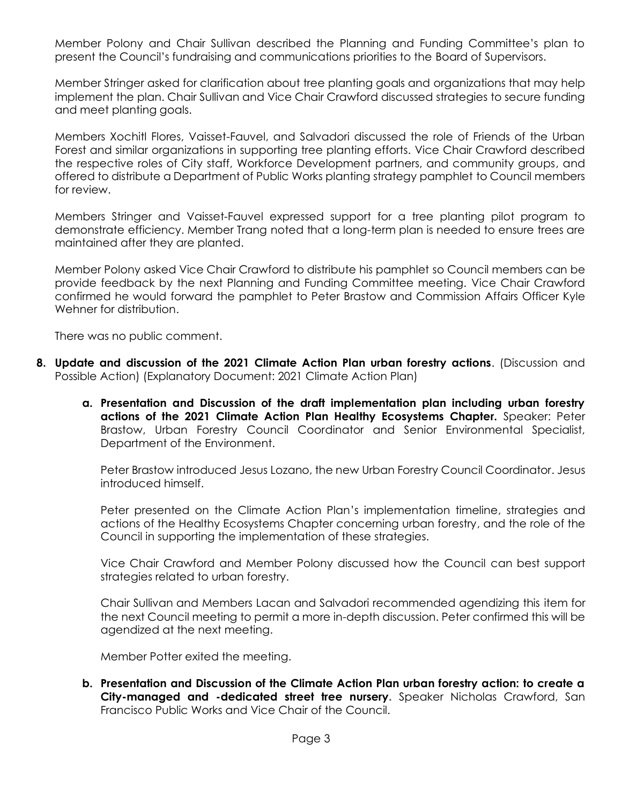Member Polony and Chair Sullivan described the Planning and Funding Committee's plan to present the Council's fundraising and communications priorities to the Board of Supervisors.

Member Stringer asked for clarification about tree planting goals and organizations that may help implement the plan. Chair Sullivan and Vice Chair Crawford discussed strategies to secure funding and meet planting goals.

Members Xochitl Flores, Vaisset-Fauvel, and Salvadori discussed the role of Friends of the Urban Forest and similar organizations in supporting tree planting efforts. Vice Chair Crawford described the respective roles of City staff, Workforce Development partners, and community groups, and offered to distribute a Department of Public Works planting strategy pamphlet to Council members for review.

Members Stringer and Vaisset-Fauvel expressed support for a tree planting pilot program to demonstrate efficiency. Member Trang noted that a long-term plan is needed to ensure trees are maintained after they are planted.

Member Polony asked Vice Chair Crawford to distribute his pamphlet so Council members can be provide feedback by the next Planning and Funding Committee meeting. Vice Chair Crawford confirmed he would forward the pamphlet to Peter Brastow and Commission Affairs Officer Kyle Wehner for distribution.

There was no public comment.

- **8. Update and discussion of the 2021 Climate Action Plan urban forestry actions**. (Discussion and Possible Action) (Explanatory Document: 2021 Climate Action Plan)
	- **a. Presentation and Discussion of the draft implementation plan including urban forestry actions of the 2021 Climate Action Plan Healthy Ecosystems Chapter.** Speaker: Peter Brastow, Urban Forestry Council Coordinator and Senior Environmental Specialist, Department of the Environment.

Peter Brastow introduced Jesus Lozano, the new Urban Forestry Council Coordinator. Jesus introduced himself.

Peter presented on the Climate Action Plan's implementation timeline, strategies and actions of the Healthy Ecosystems Chapter concerning urban forestry, and the role of the Council in supporting the implementation of these strategies.

Vice Chair Crawford and Member Polony discussed how the Council can best support strategies related to urban forestry.

Chair Sullivan and Members Lacan and Salvadori recommended agendizing this item for the next Council meeting to permit a more in-depth discussion. Peter confirmed this will be agendized at the next meeting.

Member Potter exited the meeting.

**b. Presentation and Discussion of the Climate Action Plan urban forestry action: to create a City-managed and -dedicated street tree nursery.** Speaker Nicholas Crawford, San Francisco Public Works and Vice Chair of the Council.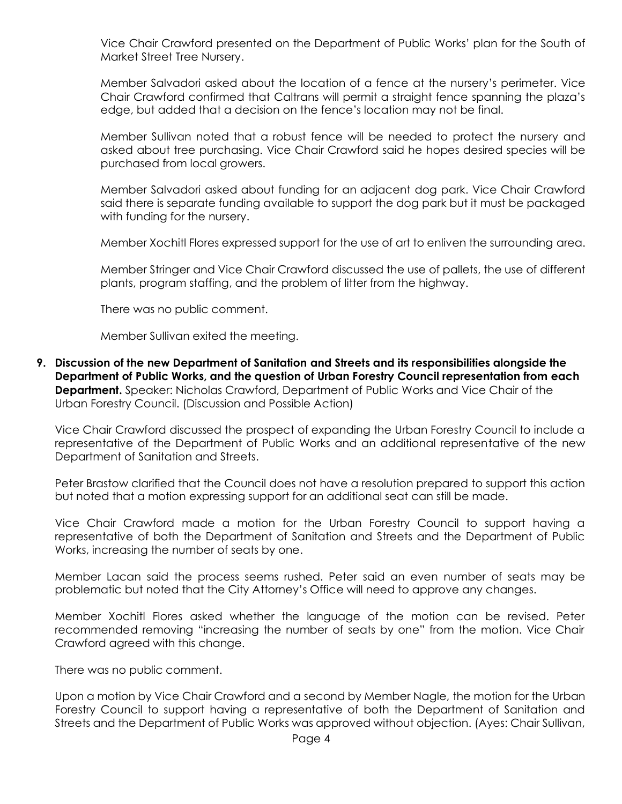Vice Chair Crawford presented on the Department of Public Works' plan for the South of Market Street Tree Nursery.

Member Salvadori asked about the location of a fence at the nursery's perimeter. Vice Chair Crawford confirmed that Caltrans will permit a straight fence spanning the plaza's edge, but added that a decision on the fence's location may not be final.

Member Sullivan noted that a robust fence will be needed to protect the nursery and asked about tree purchasing. Vice Chair Crawford said he hopes desired species will be purchased from local growers.

Member Salvadori asked about funding for an adjacent dog park. Vice Chair Crawford said there is separate funding available to support the dog park but it must be packaged with funding for the nursery.

Member Xochitl Flores expressed support for the use of art to enliven the surrounding area.

Member Stringer and Vice Chair Crawford discussed the use of pallets, the use of different plants, program staffing, and the problem of litter from the highway.

There was no public comment.

Member Sullivan exited the meeting.

**9. Discussion of the new Department of Sanitation and Streets and its responsibilities alongside the Department of Public Works, and the question of Urban Forestry Council representation from each Department.** Speaker: Nicholas Crawford, Department of Public Works and Vice Chair of the Urban Forestry Council. (Discussion and Possible Action)

Vice Chair Crawford discussed the prospect of expanding the Urban Forestry Council to include a representative of the Department of Public Works and an additional representative of the new Department of Sanitation and Streets.

Peter Brastow clarified that the Council does not have a resolution prepared to support this action but noted that a motion expressing support for an additional seat can still be made.

Vice Chair Crawford made a motion for the Urban Forestry Council to support having a representative of both the Department of Sanitation and Streets and the Department of Public Works, increasing the number of seats by one.

Member Lacan said the process seems rushed. Peter said an even number of seats may be problematic but noted that the City Attorney's Office will need to approve any changes.

Member Xochitl Flores asked whether the language of the motion can be revised. Peter recommended removing "increasing the number of seats by one" from the motion. Vice Chair Crawford agreed with this change.

There was no public comment.

Upon a motion by Vice Chair Crawford and a second by Member Nagle, the motion for the Urban Forestry Council to support having a representative of both the Department of Sanitation and Streets and the Department of Public Works was approved without objection. (Ayes: Chair Sullivan,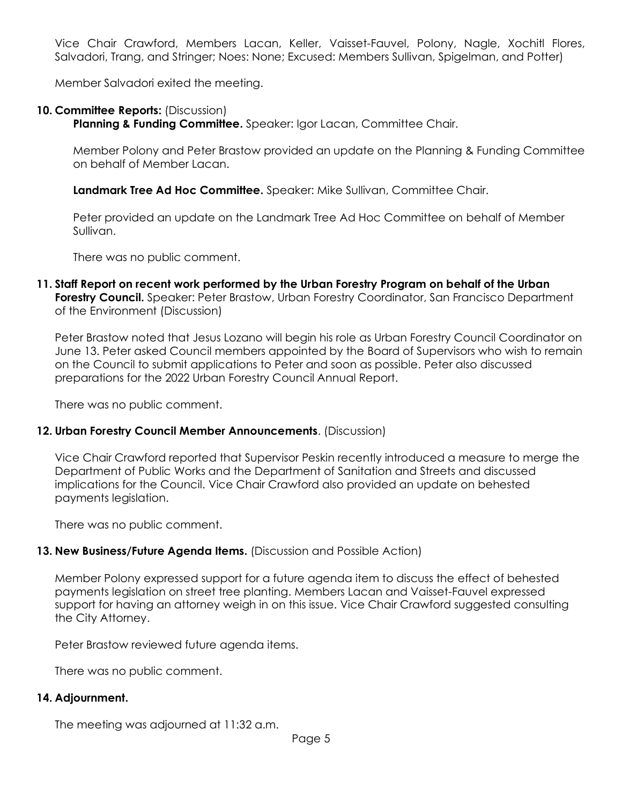Vice Chair Crawford, Members Lacan, Keller, Vaisset-Fauvel, Polony, Nagle, Xochitl Flores, Salvadori, Trang, and Stringer; Noes: None; Excused: Members Sullivan, Spigelman, and Potter)

Member Salvadori exited the meeting.

### **10. Committee Reports:** (Discussion)

**Planning & Funding Committee.** Speaker: Igor Lacan, Committee Chair.

Member Polony and Peter Brastow provided an update on the Planning & Funding Committee on behalf of Member Lacan.

**Landmark Tree Ad Hoc Committee.** Speaker: Mike Sullivan, Committee Chair.

Peter provided an update on the Landmark Tree Ad Hoc Committee on behalf of Member Sullivan.

There was no public comment.

**11. Staff Report on recent work performed by the Urban Forestry Program on behalf of the Urban Forestry Council.** Speaker: Peter Brastow, Urban Forestry Coordinator, San Francisco Department of the Environment (Discussion)

Peter Brastow noted that Jesus Lozano will begin his role as Urban Forestry Council Coordinator on June 13. Peter asked Council members appointed by the Board of Supervisors who wish to remain on the Council to submit applications to Peter and soon as possible. Peter also discussed preparations for the 2022 Urban Forestry Council Annual Report.

There was no public comment.

### **12. Urban Forestry Council Member Announcements**. (Discussion)

Vice Chair Crawford reported that Supervisor Peskin recently introduced a measure to merge the Department of Public Works and the Department of Sanitation and Streets and discussed implications for the Council. Vice Chair Crawford also provided an update on behested payments legislation.

There was no public comment.

### **13. New Business/Future Agenda Items.** (Discussion and Possible Action)

Member Polony expressed support for a future agenda item to discuss the effect of behested payments legislation on street tree planting. Members Lacan and Vaisset-Fauvel expressed support for having an attorney weigh in on this issue. Vice Chair Crawford suggested consulting the City Attorney.

Peter Brastow reviewed future agenda items.

There was no public comment.

### **14. Adjournment.**

The meeting was adjourned at 11:32 a.m.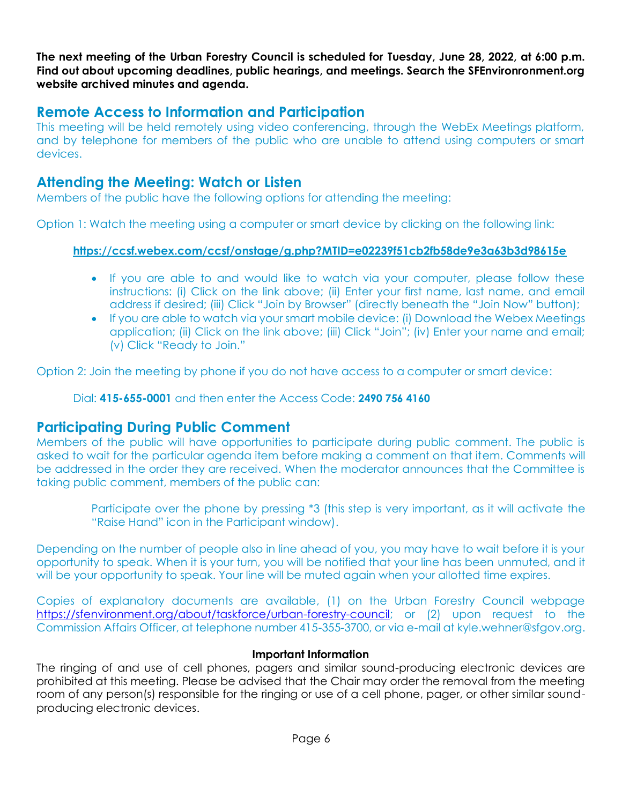**The next meeting of the Urban Forestry Council is scheduled for Tuesday, June 28, 2022, at 6:00 p.m. Find out about upcoming deadlines, public hearings, and meetings. Search the SFEnvironronment.org website archived minutes and agenda.**

# **Remote Access to Information and Participation**

This meeting will be held remotely using video conferencing, through the WebEx Meetings platform, and by telephone for members of the public who are unable to attend using computers or smart devices.

## **Attending the Meeting: Watch or Listen**

Members of the public have the following options for attending the meeting:

Option 1: Watch the meeting using a computer or smart device by clicking on the following link:

## **<https://ccsf.webex.com/ccsf/onstage/g.php?MTID=e02239f51cb2fb58de9e3a63b3d98615e>**

- If you are able to and would like to watch via your computer, please follow these instructions: (i) Click on the link above; (ii) Enter your first name, last name, and email address if desired; (iii) Click "Join by Browser" (directly beneath the "Join Now" button);
- If you are able to watch via your smart mobile device: (i) Download the Webex Meetings application; (ii) Click on the link above; (iii) Click "Join"; (iv) Enter your name and email; (v) Click "Ready to Join."

Option 2: Join the meeting by phone if you do not have access to a computer or smart device:

Dial: **415-655-0001** and then enter the Access Code: **2490 756 4160**

## **Participating During Public Comment**

Members of the public will have opportunities to participate during public comment. The public is asked to wait for the particular agenda item before making a comment on that item. Comments will be addressed in the order they are received. When the moderator announces that the Committee is taking public comment, members of the public can:

> Participate over the phone by pressing \*3 (this step is very important, as it will activate the "Raise Hand" icon in the Participant window).

Depending on the number of people also in line ahead of you, you may have to wait before it is your opportunity to speak. When it is your turn, you will be notified that your line has been unmuted, and it will be your opportunity to speak. Your line will be muted again when your allotted time expires.

Copies of explanatory documents are available, (1) on the Urban Forestry Council webpage [https://sfenvironment.org/about/taskforce/urban-forestry-council;](https://sfenvironment.org/about/taskforce/urban-forestry-council) or (2) upon request to the Commission Affairs Officer, at telephone number 415-355-3700, or via e-mail at kyle.wehner@sfgov.org.

### **Important Information**

The ringing of and use of cell phones, pagers and similar sound-producing electronic devices are prohibited at this meeting. Please be advised that the Chair may order the removal from the meeting room of any person(s) responsible for the ringing or use of a cell phone, pager, or other similar soundproducing electronic devices.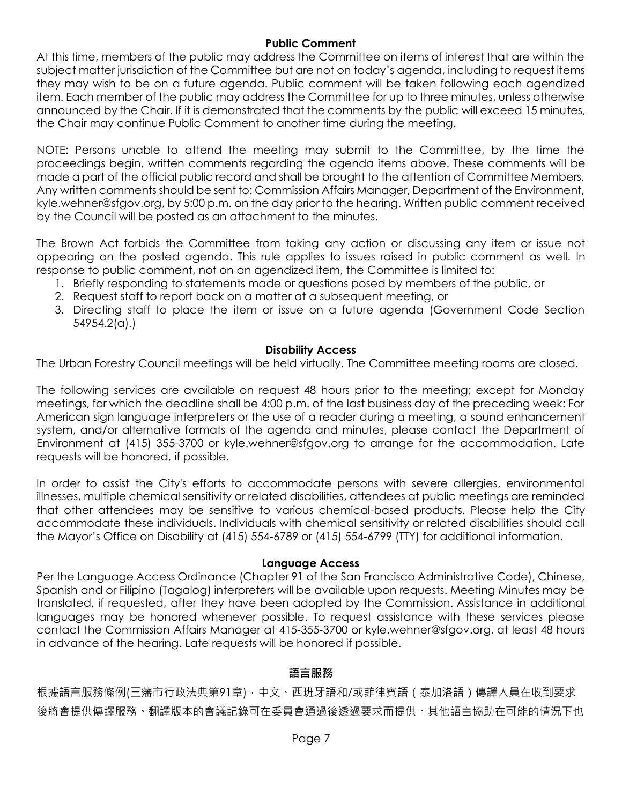### **Public Comment**

At this time, members of the public may address the Committee on items of interest that are within the subject matter jurisdiction of the Committee but are not on today's agenda, including to request items they may wish to be on a future agenda. Public comment will be taken following each agendized item. Each member of the public may address the Committee for up to three minutes, unless otherwise announced by the Chair. If it is demonstrated that the comments by the public will exceed 15 minutes, the Chair may continue Public Comment to another time during the meeting.

NOTE: Persons unable to attend the meeting may submit to the Committee, by the time the proceedings begin, written comments regarding the agenda items above. These comments will be made a part of the official public record and shall be brought to the attention of Committee Members. Any written comments should be sent to: Commission Affairs Manager, Department of the Environment, kyle.wehner@sfgov.org, by 5:00 p.m. on the day prior to the hearing. Written public comment received by the Council will be posted as an attachment to the minutes.

The Brown Act forbids the Committee from taking any action or discussing any item or issue not appearing on the posted agenda. This rule applies to issues raised in public comment as well. In response to public comment, not on an agendized item, the Committee is limited to:

- 1. Briefly responding to statements made or questions posed by members of the public, or
- 2. Request staff to report back on a matter at a subsequent meeting, or
- 3. Directing staff to place the item or issue on a future agenda (Government Code Section 54954.2(a).)

### **Disability Access**

The Urban Forestry Council meetings will be held virtually. The Committee meeting rooms are closed.

The following services are available on request 48 hours prior to the meeting; except for Monday meetings, for which the deadline shall be 4:00 p.m. of the last business day of the preceding week: For American sign language interpreters or the use of a reader during a meeting, a sound enhancement system, and/or alternative formats of the agenda and minutes, please contact the Department of Environment at (415) 355-3700 or kyle.wehner@sfgov.org to arrange for the accommodation. Late requests will be honored, if possible.

In order to assist the City's efforts to accommodate persons with severe allergies, environmental illnesses, multiple chemical sensitivity or related disabilities, attendees at public meetings are reminded that other attendees may be sensitive to various chemical-based products. Please help the City accommodate these individuals. Individuals with chemical sensitivity or related disabilities should call the Mayor's Office on Disability at (415) 554-6789 or (415) 554-6799 (TTY) for additional information.

## **Language Access**

Per the Language Access Ordinance (Chapter 91 of the San Francisco Administrative Code), Chinese, Spanish and or Filipino (Tagalog) interpreters will be available upon requests. Meeting Minutes may be translated, if requested, after they have been adopted by the Commission. Assistance in additional languages may be honored whenever possible. To request assistance with these services please contact the Commission Affairs Manager at 415-355-3700 or kyle.wehner@sfgov.org, at least 48 hours in advance of the hearing. Late requests will be honored if possible.

## **語言服務**

根據語言服務條例(三藩市行政法典第91章),中文、西班牙語和/或菲律賓語 (泰加洛語)傳譯人員在收到要求 後將會提供傳譯服務。翻譯版本的會議記錄可在委員會通過後透過要求而提供。其他語言協助在可能的情況下也